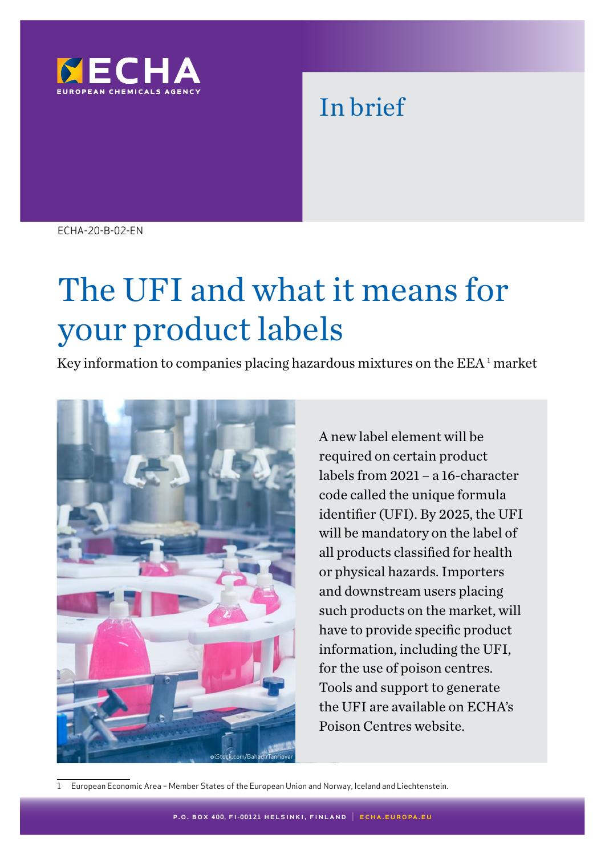

# In brief

ECHA-20-B-02-EN

# The UFI and what it means for your product labels

Key information to companies placing hazardous mixtures on the  $EEA<sup>1</sup>$  market



A new label element will be required on certain product labels from 2021 – a 16-character code called the unique formula identifier (UFI). By 2025, the UFI will be mandatory on the label of all products classified for health or physical hazards. Importers and downstream users placing such products on the market, will have to provide specific product information, including the UFI, for the use of poison centres. Tools and support to generate the UFI are available on ECHA's Poison Centres website.

1 European Economic Area – Member States of the European Union and Norway, Iceland and Liechtenstein.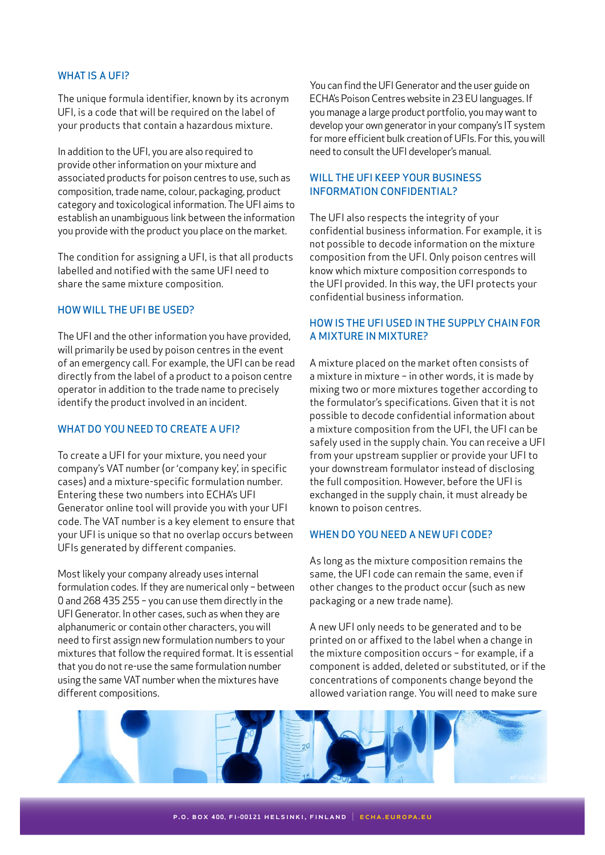#### WHAT IS A UFI?

The unique formula identifier, known by its acronym UFI, is a code that will be required on the label of your products that contain a hazardous mixture.

In addition to the UFI, you are also required to provide other information on your mixture and associated products for poison centres to use, such as composition, trade name, colour, packaging, product category and toxicological information. The UFI aims to establish an unambiguous link between the information you provide with the product you place on the market.

The condition for assigning a UFI, is that all products labelled and notified with the same UFI need to share the same mixture composition.

#### HOW WILL THE UFI BE USED?

The UFI and the other information you have provided, will primarily be used by poison centres in the event of an emergency call. For example, the UFI can be read directly from the label of a product to a poison centre operator in addition to the trade name to precisely identify the product involved in an incident.

# WHAT DO YOU NEED TO CREATE A UFI?

To create a UFI for your mixture, you need your company's VAT number (or 'company key', in specific cases) and a mixture-specific formulation number. Entering these two numbers into ECHA's UFI Generator online tool will provide you with your UFI code. The VAT number is a key element to ensure that your UFI is unique so that no overlap occurs between UFIs generated by different companies.

Most likely your company already uses internal formulation codes. If they are numerical only – between 0 and 268 435 255 – you can use them directly in the UFI Generator. In other cases, such as when they are alphanumeric or contain other characters, you will need to first assign new formulation numbers to your mixtures that follow the required format. It is essential that you do not re-use the same formulation number using the same VAT number when the mixtures have different compositions.

You can find the UFI Generator and the user guide on ECHA's Poison Centres website in 23 EU languages. If you manage a large product portfolio, you may want to develop your own generator in your company's IT system for more efficient bulk creation of UFIs. For this, you will need to consult the UFI developer's manual.

#### WILL THE UFI KEEP YOUR BUSINESS INFORMATION CONFIDENTIAL?

The UFI also respects the integrity of your confidential business information. For example, it is not possible to decode information on the mixture composition from the UFI. Only poison centres will know which mixture composition corresponds to the UFI provided. In this way, the UFI protects your confidential business information.

# HOW IS THE UFI USED IN THE SUPPLY CHAIN FOR A MIXTURE IN MIXTURE?

A mixture placed on the market often consists of a mixture in mixture – in other words, it is made by mixing two or more mixtures together according to the formulator's specifications. Given that it is not possible to decode confidential information about a mixture composition from the UFI, the UFI can be safely used in the supply chain. You can receive a UFI from your upstream supplier or provide your UFI to your downstream formulator instead of disclosing the full composition. However, before the UFI is exchanged in the supply chain, it must already be known to poison centres.

#### WHEN DO YOU NEED A NEW UFI CODE?

As long as the mixture composition remains the same, the UFI code can remain the same, even if other changes to the product occur (such as new packaging or a new trade name).

A new UFI only needs to be generated and to be printed on or affixed to the label when a change in the mixture composition occurs – for example, if a component is added, deleted or substituted, or if the concentrations of components change beyond the allowed variation range. You will need to make sure

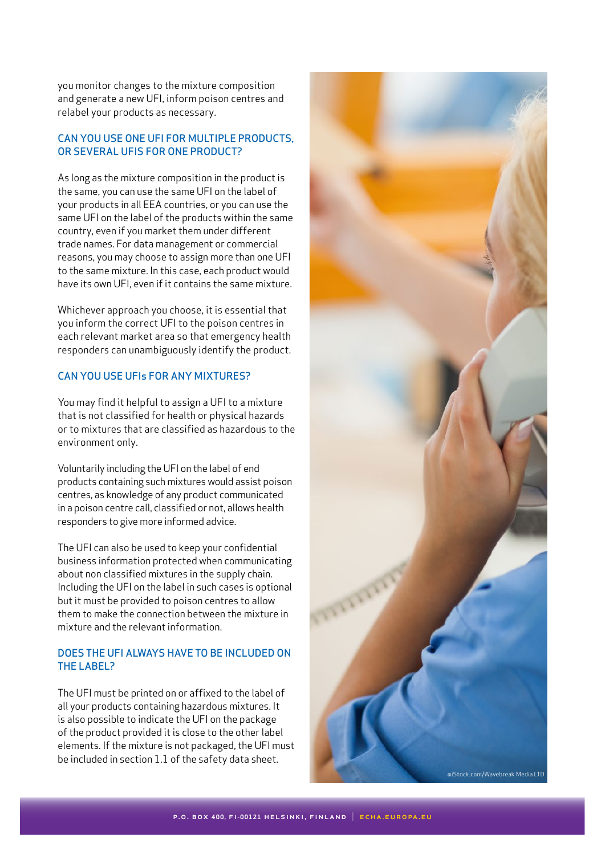you monitor changes to the mixture composition and generate a new UFI, inform poison centres and relabel your products as necessary.

#### CAN YOU USE ONE UFI FOR MULTIPLE PRODUCTS, OR SEVERAL UFIS FOR ONE PRODUCT?

As long as the mixture composition in the product is the same, you can use the same UFI on the label of your products in all EEA countries, or you can use the same UFI on the label of the products within the same country, even if you market them under different trade names. For data management or commercial reasons, you may choose to assign more than one UFI to the same mixture. In this case, each product would have its own UFI, even if it contains the same mixture.

Whichever approach you choose, it is essential that you inform the correct UFI to the poison centres in each relevant market area so that emergency health responders can unambiguously identify the product.

#### CAN YOU USE UFIs FOR ANY MIXTURES?

You may find it helpful to assign a UFI to a mixture that is not classified for health or physical hazards or to mixtures that are classified as hazardous to the environment only.

Voluntarily including the UFI on the label of end products containing such mixtures would assist poison centres, as knowledge of any product communicated in a poison centre call, classified or not, allows health responders to give more informed advice.

The UFI can also be used to keep your confidential business information protected when communicating about non classified mixtures in the supply chain. Including the UFI on the label in such cases is optional but it must be provided to poison centres to allow them to make the connection between the mixture in mixture and the relevant information.

# DOES THE UFI ALWAYS HAVE TO BE INCLUDED ON THE LABEL?

The UFI must be printed on or affixed to the label of all your products containing hazardous mixtures. It is also possible to indicate the UFI on the package of the product provided it is close to the other label elements. If the mixture is not packaged, the UFI must be included in section 1.1 of the safety data sheet.